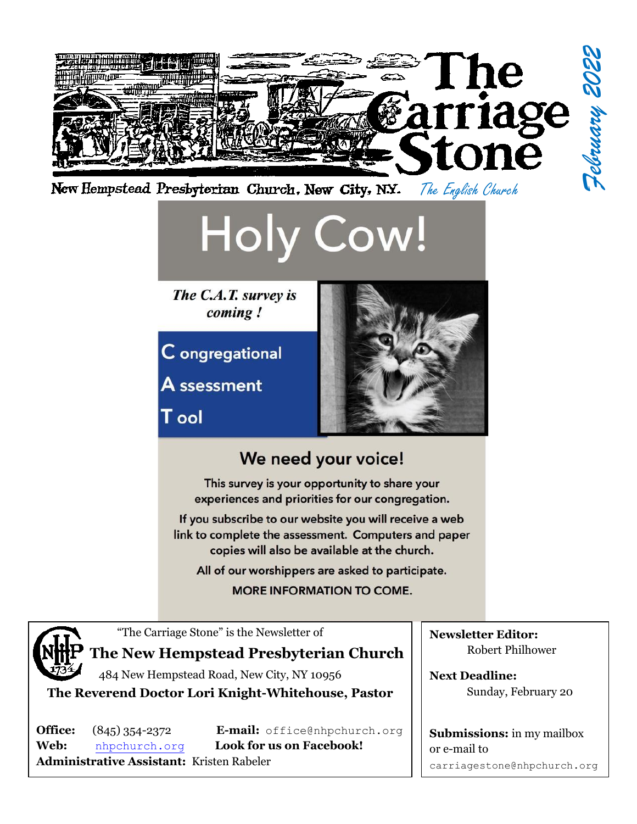

**MORE INFORMATION TO COME.** 



"The Carriage Stone" is the Newsletter of

## **The New Hempstead Presbyterian Church**

484 New Hempstead Road, New City, NY 10956 **The Reverend Doctor Lori Knight-Whitehouse, Pastor**

**Web:** [nhpchurch.org](http://nhpchurch.org/) **Look for us on Facebook! Administrative Assistant:** Kristen Rabeler

**Office:** (845) 354-2372 **E-mail:** [office@nhpchurch.org](mailto:NHPC2@yahoo.com)

**Newsletter Editor:** Robert Philhower

**Next Deadline:** Sunday, February 20

**Submissions:** in my mailbox or e-mail to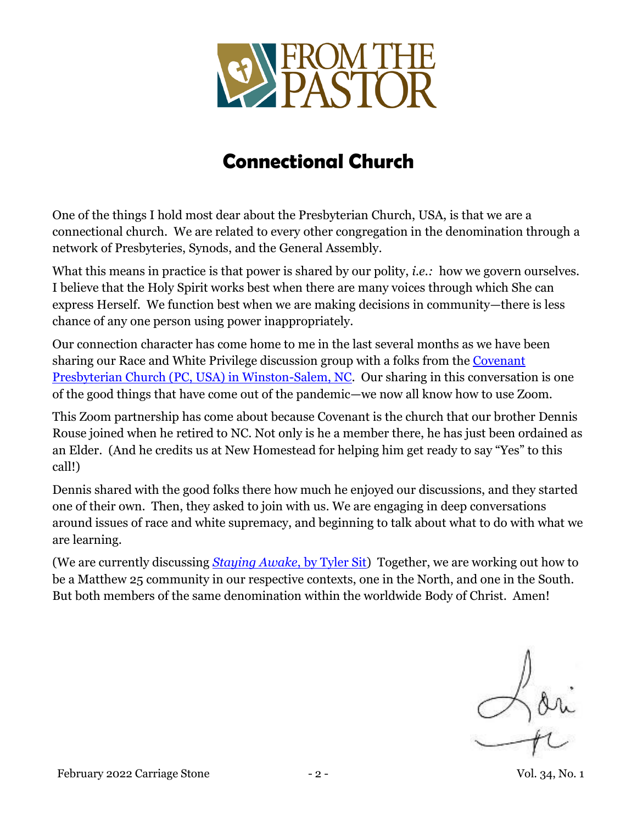

# **Connectional Church**

One of the things I hold most dear about the Presbyterian Church, USA, is that we are a connectional church. We are related to every other congregation in the denomination through a network of Presbyteries, Synods, and the General Assembly.

What this means in practice is that power is shared by our polity, *i.e.*: how we govern ourselves. I believe that the Holy Spirit works best when there are many voices through which She can express Herself. We function best when we are making decisions in community—there is less chance of any one person using power inappropriately.

Our connection character has come home to me in the last several months as we have been sharing our Race and White Privilege discussion group with a folks from the [Covenant](http://www.covpreswsnc.org/)  [Presbyterian Church \(PC, USA\) in Winston-Salem, NC.](http://www.covpreswsnc.org/) Our sharing in this conversation is one of the good things that have come out of the pandemic—we now all know how to use Zoom.

This Zoom partnership has come about because Covenant is the church that our brother Dennis Rouse joined when he retired to NC. Not only is he a member there, he has just been ordained as an Elder. (And he credits us at New Homestead for helping him get ready to say "Yes" to this call!)

Dennis shared with the good folks there how much he enjoyed our discussions, and they started one of their own. Then, they asked to join with us. We are engaging in deep conversations around issues of race and white supremacy, and beginning to talk about what to do with what we are learning.

(We are currently discussing *[Staying Awake](https://www.tylersit.com/stayingawake)*, by Tyler Sit) Together, we are working out how to be a Matthew 25 community in our respective contexts, one in the North, and one in the South. But both members of the same denomination within the worldwide Body of Christ. Amen!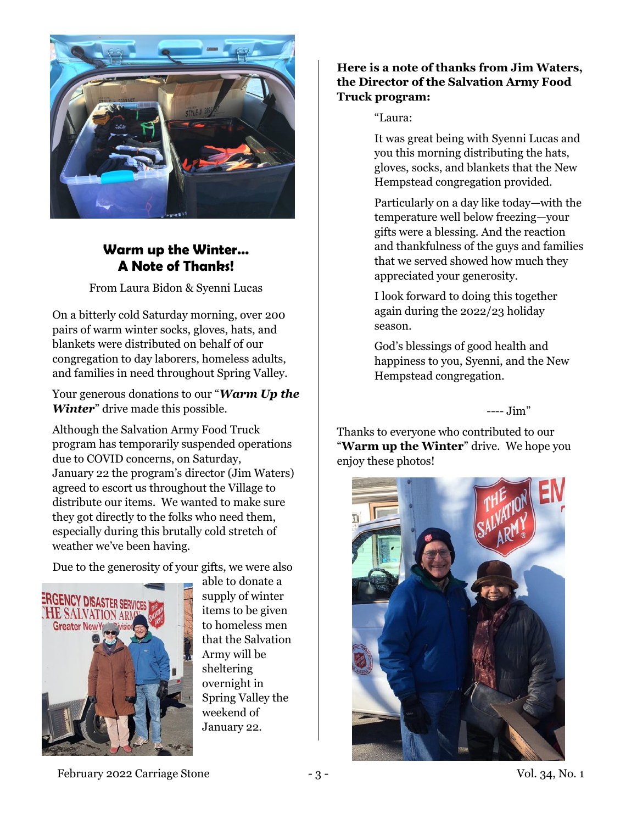

## **Warm up the Winter… A Note of Thanks!**

From Laura Bidon & Syenni Lucas

On a bitterly cold Saturday morning, over 200 pairs of warm winter socks, gloves, hats, and blankets were distributed on behalf of our congregation to day laborers, homeless adults, and families in need throughout Spring Valley.

Your generous donations to our "*Warm Up the Winter*" drive made this possible.

Although the Salvation Army Food Truck program has temporarily suspended operations due to COVID concerns, on Saturday, January 22 the program's director (Jim Waters) agreed to escort us throughout the Village to distribute our items. We wanted to make sure they got directly to the folks who need them, especially during this brutally cold stretch of weather we've been having.

Due to the generosity of your gifts, we were also



able to donate a supply of winter items to be given to homeless men that the Salvation Army will be sheltering overnight in Spring Valley the weekend of January 22.

#### **Here is a note of thanks from Jim Waters, the Director of the Salvation Army Food Truck program:**

"Laura:

It was great being with Syenni Lucas and you this morning distributing the hats, gloves, socks, and blankets that the New Hempstead congregation provided.

Particularly on a day like today—with the temperature well below freezing—your gifts were a blessing. And the reaction and thankfulness of the guys and families that we served showed how much they appreciated your generosity.

I look forward to doing this together again during the 2022/23 holiday season.

God's blessings of good health and happiness to you, Syenni, and the New Hempstead congregation.

---- Jim"

Thanks to everyone who contributed to our "**Warm up the Winter**" drive. We hope you enjoy these photos!



February 2022 Carriage Stone  $-3$  - 3 - The Stone Stone Stone Stone Stone Stone Stone Stone Stone Stone Stone Stone Stone Stone Stone Stone Stone Stone Stone Stone Stone Stone Stone Stone Stone Stone Stone Stone Stone Ston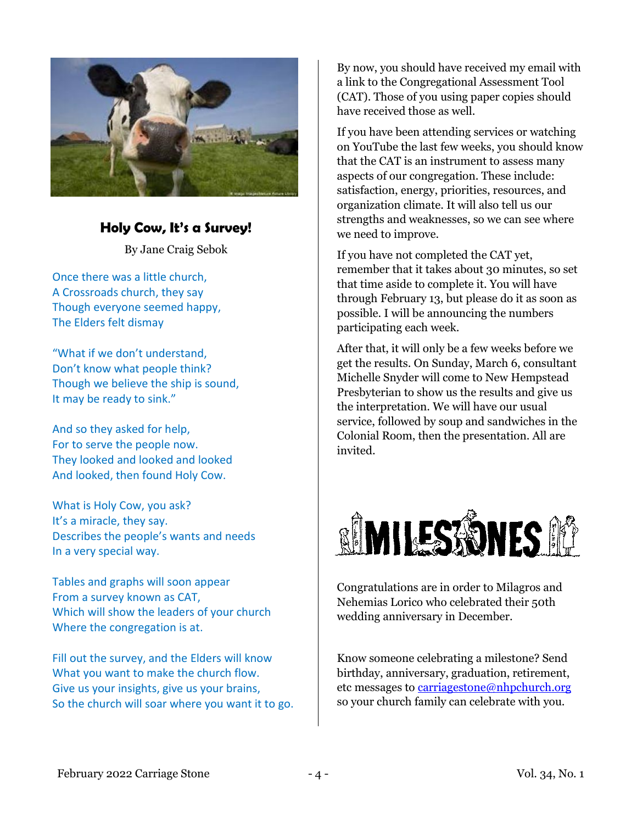

## **Holy Cow, It's a Survey!**

By Jane Craig Sebok

Once there was a little church, A Crossroads church, they say Though everyone seemed happy, The Elders felt dismay

"What if we don't understand, Don't know what people think? Though we believe the ship is sound, It may be ready to sink."

And so they asked for help, For to serve the people now. They looked and looked and looked And looked, then found Holy Cow.

What is Holy Cow, you ask? It's a miracle, they say. Describes the people's wants and needs In a very special way.

Tables and graphs will soon appear From a survey known as CAT, Which will show the leaders of your church Where the congregation is at.

Fill out the survey, and the Elders will know What you want to make the church flow. Give us your insights, give us your brains, So the church will soar where you want it to go.

By now, you should have received my email with a link to the Congregational Assessment Tool (CAT). Those of you using paper copies should have received those as well.

If you have been attending services or watching on YouTube the last few weeks, you should know that the CAT is an instrument to assess many aspects of our congregation. These include: satisfaction, energy, priorities, resources, and organization climate. It will also tell us our strengths and weaknesses, so we can see where we need to improve.

If you have not completed the CAT yet, remember that it takes about 30 minutes, so set that time aside to complete it. You will have through February 13, but please do it as soon as possible. I will be announcing the numbers participating each week.

After that, it will only be a few weeks before we get the results. On Sunday, March 6, consultant Michelle Snyder will come to New Hempstead Presbyterian to show us the results and give us the interpretation. We will have our usual service, followed by soup and sandwiches in the Colonial Room, then the presentation. All are invited.



Congratulations are in order to Milagros and Nehemias Lorico who celebrated their 50th wedding anniversary in December.

Know someone celebrating a milestone? Send birthday, anniversary, graduation, retirement, etc messages to [carriagestone@nhpchurch.org](mailto:carriagestone@nhpchurch.org) so your church family can celebrate with you.